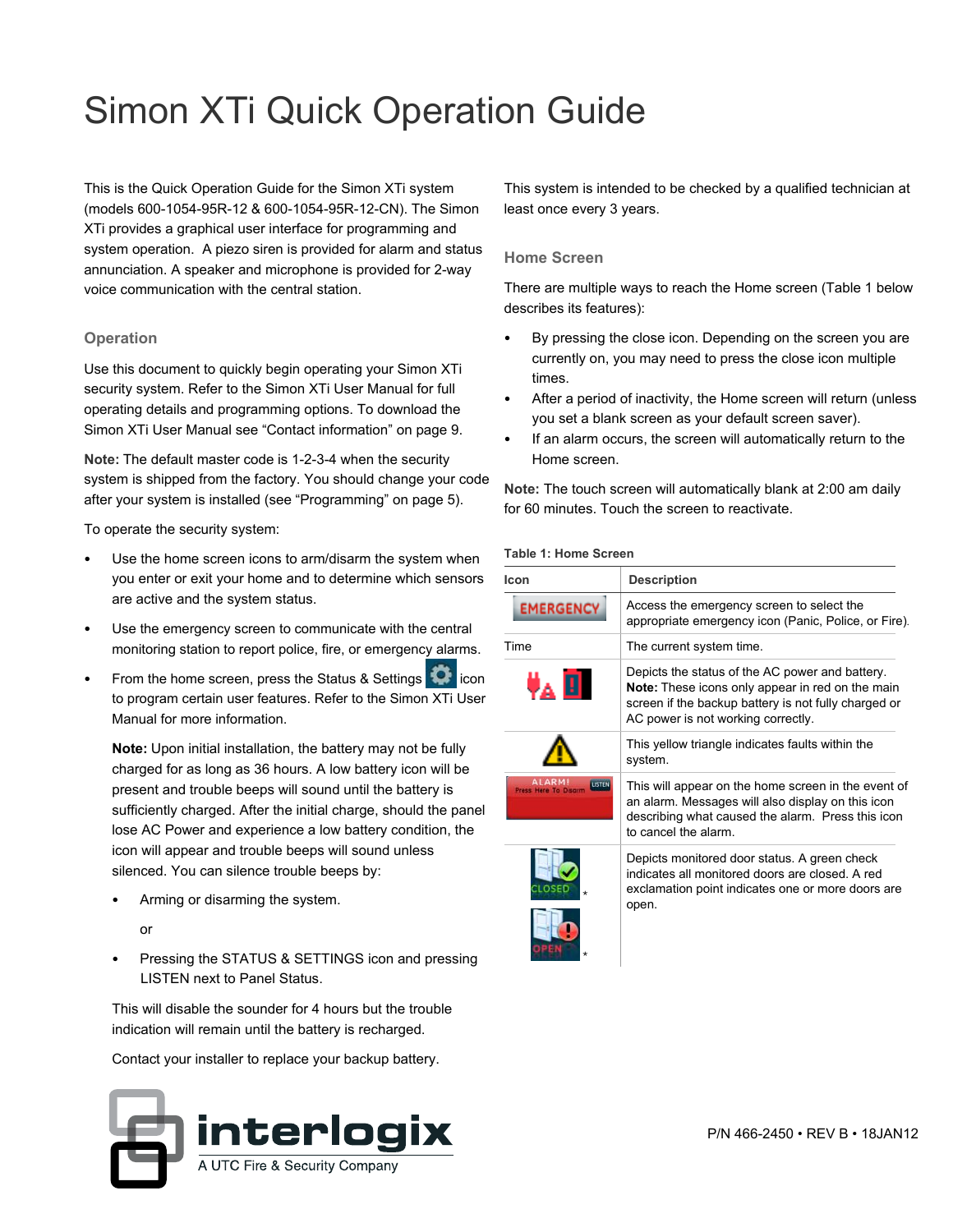# Simon XTi Quick Operation Guide

This is the Quick Operation Guide for the Simon XTi system (models 600-1054-95R-12 & 600-1054-95R-12-CN). The Simon XTi provides a graphical user interface for programming and system operation. A piezo siren is provided for alarm and status annunciation. A speaker and microphone is provided for 2-way voice communication with the central station.

# **Operation**

Use this document to quickly begin operating your Simon XTi security system. Refer to the Simon XTi User Manual for full operating details and programming options. To download the Simon XTi User Manual s[ee "Contact informat](#page-8-0)i[on" on pag](#page-8-0)e 9.

**Note:** The default master code is 1-2-3-4 when the security system is shipped from the factory. You should change your code after your system is installed (se[e "Programming" on page](#page-4-0) 5).

To operate the security system:

- <span id="page-0-0"></span>Use the home screen icons to arm/disarm the system when you enter or exit your home and to determine which sensors are active and the system status.
- Use the emergency screen to communicate with the central monitoring station to report police, fire, or emergency alarms.
- From the home screen, press the Status & Settings **in the filter** icon to program certain user features. Refer to the Simon XTi User Manual for more information.

**Note:** Upon initial installation, the battery may not be fully charged for as long as 36 hours. A low battery icon will be present and trouble beeps will sound until the battery is sufficiently charged. After the initial charge, should the panel lose AC Power and experience a low battery condition, the icon will appear and trouble beeps will sound unless silenced. You can silence trouble beeps by:

• Arming or disarming the system.

or

Pressing the STATUS & SETTINGS icon and pressing LISTEN next to Panel Status.

This will disable the sounder for 4 hours but the trouble indication will remain until the battery is recharged.

Contact your installer to replace your backup battery.



This system is intended to be checked by a qualified technician at least once every 3 years.

# **Home Screen**

There are multiple ways to reach the Home scre[en \(Table 1](#page-0-0) below describes its features):

- By pressing the close icon. Depending on the screen you are currently on, you may need to press the close icon multiple times.
- After a period of inactivity, the Home screen will return (unless you set a blank screen as your default screen saver).
- If an alarm occurs, the screen will automatically return to the Home screen.

**Note:** The touch screen will automatically blank at 2:00 am daily for 60 minutes. Touch the screen to reactivate.

#### **Table 1: Home Screen**

\*

| Icon             | <b>Description</b>                                                                                                                                                                                |  |  |
|------------------|---------------------------------------------------------------------------------------------------------------------------------------------------------------------------------------------------|--|--|
| <b>EMERGENCY</b> | Access the emergency screen to select the<br>appropriate emergency icon (Panic, Police, or Fire).                                                                                                 |  |  |
| Time             | The current system time.                                                                                                                                                                          |  |  |
|                  | Depicts the status of the AC power and battery.<br>Note: These icons only appear in red on the main<br>screen if the backup battery is not fully charged or<br>AC power is not working correctly. |  |  |
|                  | This yellow triangle indicates faults within the<br>system.                                                                                                                                       |  |  |
| <b>USTEN</b>     | This will appear on the home screen in the event of<br>an alarm. Messages will also display on this icon<br>describing what caused the alarm. Press this icon<br>to cancel the alarm.             |  |  |
| el oser          | Depicts monitored door status. A green check<br>indicates all monitored doors are closed. A red<br>exclamation point indicates one or more doors are<br>open.                                     |  |  |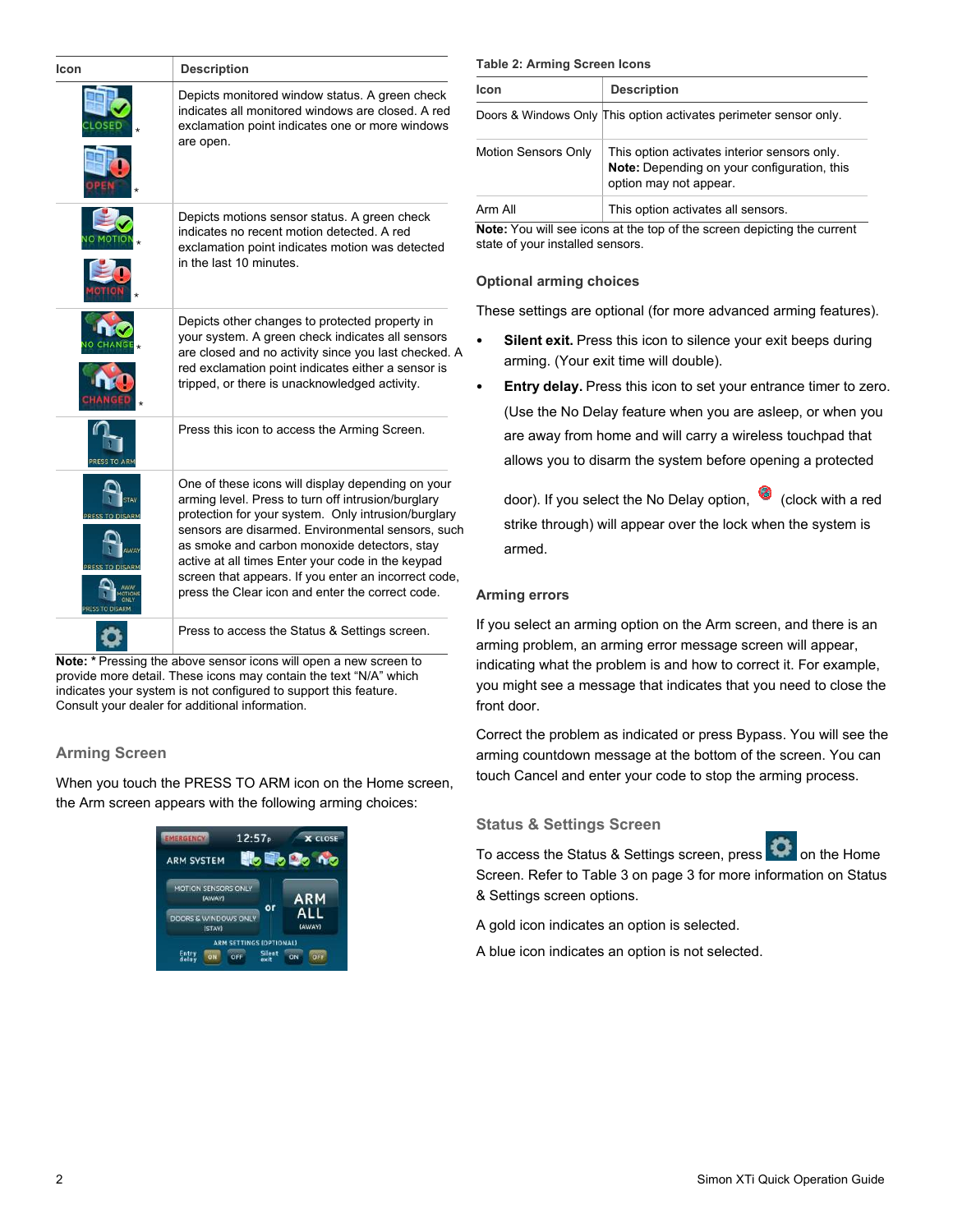| Icon                                                                                                                                                                                                                                                                                                                                                                                                                                                                                                     | <b>Description</b>                                                                                                                                                                                                                                                |
|----------------------------------------------------------------------------------------------------------------------------------------------------------------------------------------------------------------------------------------------------------------------------------------------------------------------------------------------------------------------------------------------------------------------------------------------------------------------------------------------------------|-------------------------------------------------------------------------------------------------------------------------------------------------------------------------------------------------------------------------------------------------------------------|
|                                                                                                                                                                                                                                                                                                                                                                                                                                                                                                          | Depicts monitored window status. A green check<br>indicates all monitored windows are closed. A red<br>exclamation point indicates one or more windows<br>are open.                                                                                               |
|                                                                                                                                                                                                                                                                                                                                                                                                                                                                                                          | Depicts motions sensor status. A green check<br>indicates no recent motion detected. A red<br>exclamation point indicates motion was detected<br>in the last 10 minutes.                                                                                          |
|                                                                                                                                                                                                                                                                                                                                                                                                                                                                                                          | Depicts other changes to protected property in<br>your system. A green check indicates all sensors<br>are closed and no activity since you last checked. A<br>red exclamation point indicates either a sensor is<br>tripped, or there is unacknowledged activity. |
| PRESS TO ARM                                                                                                                                                                                                                                                                                                                                                                                                                                                                                             | Press this icon to access the Arming Screen.                                                                                                                                                                                                                      |
| One of these icons will display depending on your<br>arming level. Press to turn off intrusion/burglary<br><b>STAY</b><br>protection for your system. Only intrusion/burglary<br><b>PRESS TO DISARM</b><br>sensors are disarmed. Environmental sensors, such<br>as smoke and carbon monoxide detectors, stay<br>AWAY<br>active at all times Enter your code in the keypad<br>PRESS TO DISARM<br>screen that appears. If you enter an incorrect code,<br>press the Clear icon and enter the correct code. |                                                                                                                                                                                                                                                                   |
|                                                                                                                                                                                                                                                                                                                                                                                                                                                                                                          | Press to access the Status & Settings screen.                                                                                                                                                                                                                     |
|                                                                                                                                                                                                                                                                                                                                                                                                                                                                                                          | Note: * Pressing the above sensor icons will open a new screen to                                                                                                                                                                                                 |

provide more detail. These icons may contain the text "N/A" which indicates your system is not configured to support this feature. Consult your dealer for additional information.

# **Arming Screen**

When you touch the PRESS TO ARM icon on the Home screen, the Arm screen appears with the following arming choices:



## **Table 2: Arming Screen Icons**

| <b>Icon</b>                                   | <b>Description</b>                                                                                                    |  |  |
|-----------------------------------------------|-----------------------------------------------------------------------------------------------------------------------|--|--|
|                                               | Doors & Windows Only This option activates perimeter sensor only.                                                     |  |  |
| <b>Motion Sensors Only</b>                    | This option activates interior sensors only.<br>Note: Depending on your configuration, this<br>option may not appear. |  |  |
| This option activates all sensors.<br>Arm All |                                                                                                                       |  |  |

**Note:** You will see icons at the top of the screen depicting the current te of your installed sensors.

## **Optional arming choices**

ese settings are optional (for more advanced arming features).

- **Silent exit.** Press this icon to silence your exit beeps during arming. (Your exit time will double).
- **Entry delay.** Press this icon to set your entrance timer to zero. (Use the No Delay feature when you are asleep, or when you are away from home and will carry a wireless touchpad that allows you to disarm the system before opening a protected

door). If you select the No Delay option,  $\bullet$  (clock with a red strike through) will appear over the lock when the system is armed.

# **Arming errors**

ou select an arming option on the Arm screen, and there is an ning problem, an arming error message screen will appear, icating what the problem is and how to correct it. For example, you might see a message that indicates that you need to close the front door.

Correct the problem as indicated or press Bypass. You will see the arming countdown message at the bottom of the screen. You can touch Cancel and enter your code to stop the arming process.

# **Status & Settings Screen**

To access the Status & Settings screen, press **the Home** Screen. Refer t[o Table](#page-2-0) 3 [on page](#page-2-0) 3 for more information on Status & Settings screen options.

A gold icon indicates an option is selected.

A blue icon indicates an option is not selected.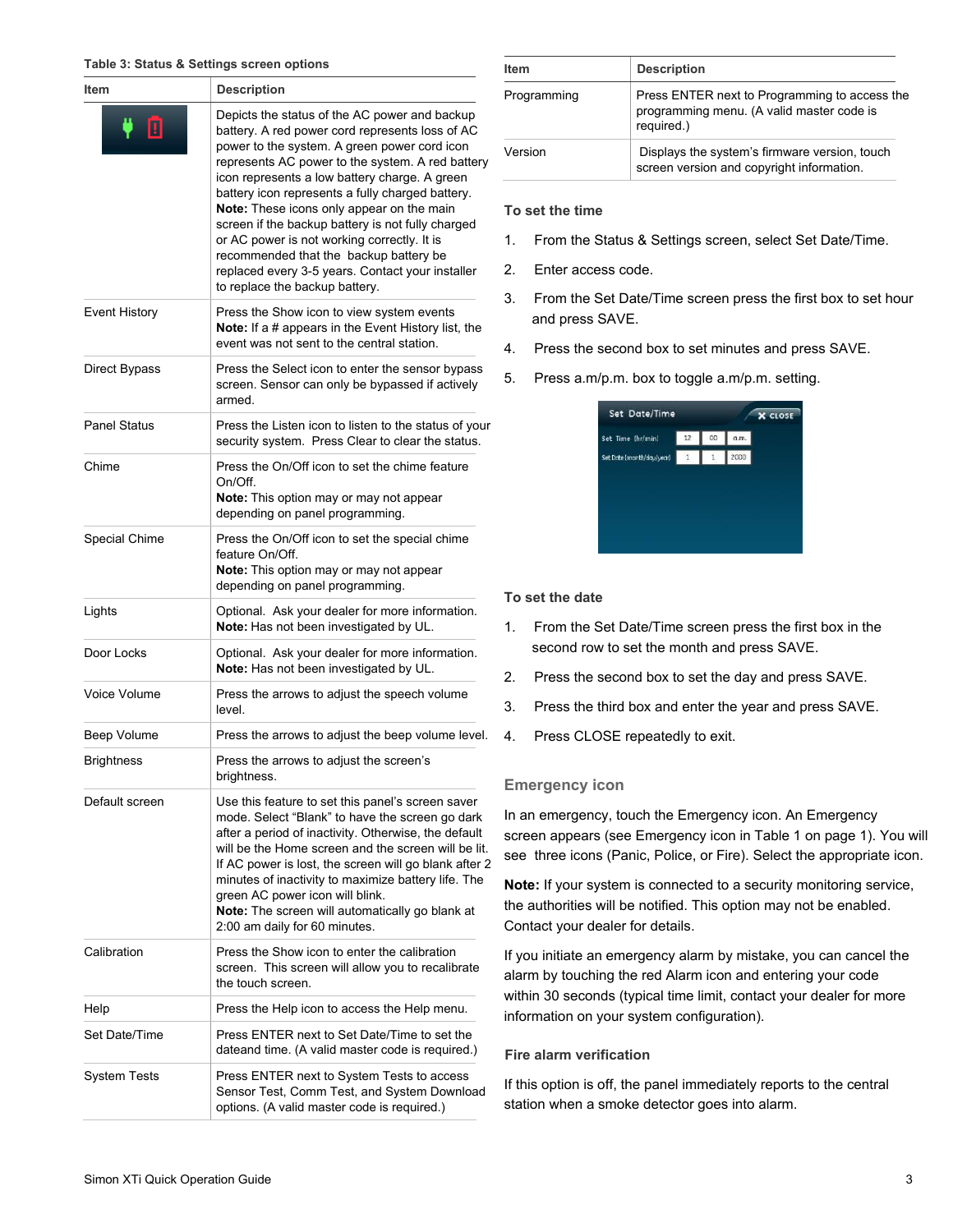#### <span id="page-2-0"></span>**Table 3: Status & Settings screen options**

| <b>Description</b><br>Item |                                                                                                                                                                                                                                                                                                                                                                                                                                                                                                                                                                                            |  |  |
|----------------------------|--------------------------------------------------------------------------------------------------------------------------------------------------------------------------------------------------------------------------------------------------------------------------------------------------------------------------------------------------------------------------------------------------------------------------------------------------------------------------------------------------------------------------------------------------------------------------------------------|--|--|
| ▣                          | Depicts the status of the AC power and backup<br>battery. A red power cord represents loss of AC<br>power to the system. A green power cord icon<br>represents AC power to the system. A red battery<br>icon represents a low battery charge. A green<br>battery icon represents a fully charged battery.<br>Note: These icons only appear on the main<br>screen if the backup battery is not fully charged<br>or AC power is not working correctly. It is<br>recommended that the backup battery be<br>replaced every 3-5 years. Contact your installer<br>to replace the backup battery. |  |  |
| <b>Event History</b>       | Press the Show icon to view system events<br>Note: If a # appears in the Event History list, the<br>event was not sent to the central station.                                                                                                                                                                                                                                                                                                                                                                                                                                             |  |  |
| Direct Bypass              | Press the Select icon to enter the sensor bypass<br>screen. Sensor can only be bypassed if actively<br>armed.                                                                                                                                                                                                                                                                                                                                                                                                                                                                              |  |  |
| <b>Panel Status</b>        | Press the Listen icon to listen to the status of your<br>security system. Press Clear to clear the status.                                                                                                                                                                                                                                                                                                                                                                                                                                                                                 |  |  |
| Chime                      | Press the On/Off icon to set the chime feature<br>On/Off.<br>Note: This option may or may not appear<br>depending on panel programming.                                                                                                                                                                                                                                                                                                                                                                                                                                                    |  |  |
| Special Chime              | Press the On/Off icon to set the special chime<br>feature On/Off.<br>Note: This option may or may not appear<br>depending on panel programming.                                                                                                                                                                                                                                                                                                                                                                                                                                            |  |  |
| Lights                     | Optional. Ask your dealer for more information.<br>Note: Has not been investigated by UL.                                                                                                                                                                                                                                                                                                                                                                                                                                                                                                  |  |  |
| Door Locks                 | Optional. Ask your dealer for more information.<br>Note: Has not been investigated by UL.                                                                                                                                                                                                                                                                                                                                                                                                                                                                                                  |  |  |
| Voice Volume               | Press the arrows to adjust the speech volume<br>level.                                                                                                                                                                                                                                                                                                                                                                                                                                                                                                                                     |  |  |
| Beep Volume                | Press the arrows to adjust the beep volume level.                                                                                                                                                                                                                                                                                                                                                                                                                                                                                                                                          |  |  |
| <b>Brightness</b>          | Press the arrows to adjust the screen's<br>brightness                                                                                                                                                                                                                                                                                                                                                                                                                                                                                                                                      |  |  |
| Default screen             | Use this feature to set this panel's screen saver<br>mode. Select "Blank" to have the screen go dark<br>after a period of inactivity. Otherwise, the default<br>will be the Home screen and the screen will be lit.<br>If AC power is lost, the screen will go blank after 2<br>minutes of inactivity to maximize battery life. The<br>green AC power icon will blink.<br>Note: The screen will automatically go blank at<br>2:00 am daily for 60 minutes.                                                                                                                                 |  |  |
| Calibration                | Press the Show icon to enter the calibration<br>screen. This screen will allow you to recalibrate<br>the touch screen.                                                                                                                                                                                                                                                                                                                                                                                                                                                                     |  |  |
| Help                       | Press the Help icon to access the Help menu.                                                                                                                                                                                                                                                                                                                                                                                                                                                                                                                                               |  |  |
| Set Date/Time              | Press ENTER next to Set Date/Time to set the<br>dateand time. (A valid master code is required.)                                                                                                                                                                                                                                                                                                                                                                                                                                                                                           |  |  |
| System Tests               | Press ENTER next to System Tests to access<br>Sensor Test, Comm Test, and System Download<br>options. (A valid master code is required.)                                                                                                                                                                                                                                                                                                                                                                                                                                                   |  |  |

| <b>Item</b> | <b>Description</b>                                                                                       |
|-------------|----------------------------------------------------------------------------------------------------------|
| Programming | Press ENTER next to Programming to access the<br>programming menu. (A valid master code is<br>required.) |
| Version     | Displays the system's firmware version, touch<br>screen version and copyright information.               |

#### **To set the time**

- 1. From the Status & Settings screen, select Set Date/Time.
- 2. Enter access code.
- 3. From the Set Date/Time screen press the first box to set hour and press SAVE.
- 4. Press the second box to set minutes and press SAVE.
- 5. Press a.m/p.m. box to toggle a.m/p.m. setting.

## **To set the date**

- 1. From the Set Date/Time screen press the first box in the second row to set the month and press SAVE.
- 2. Press the second box to set the day and press SAVE.
- 3. Press the third box and enter the year and press SAVE.
- 4. Press CLOSE repeatedly to exit.

## **Emergency icon**

In an emergency, touch the Emergency icon. An Emergency screen appears (see Emergency icon [in Tabl](#page-0-0)e 1 [on pag](#page-0-0)e 1). You will see three icons (Panic, Police, or Fire). Select the appropriate icon.

**Note:** If your system is connected to a security monitoring service, the authorities will be notified. This option may not be enabled. Contact your dealer for details.

If you initiate an emergency alarm by mistake, you can cancel the alarm by touching the red Alarm icon and entering your code within 30 seconds (typical time limit, contact your dealer for more information on your system configuration).

## **Fire alarm verification**

If this option is off, the panel immediately reports to the central station when a smoke detector goes into alarm.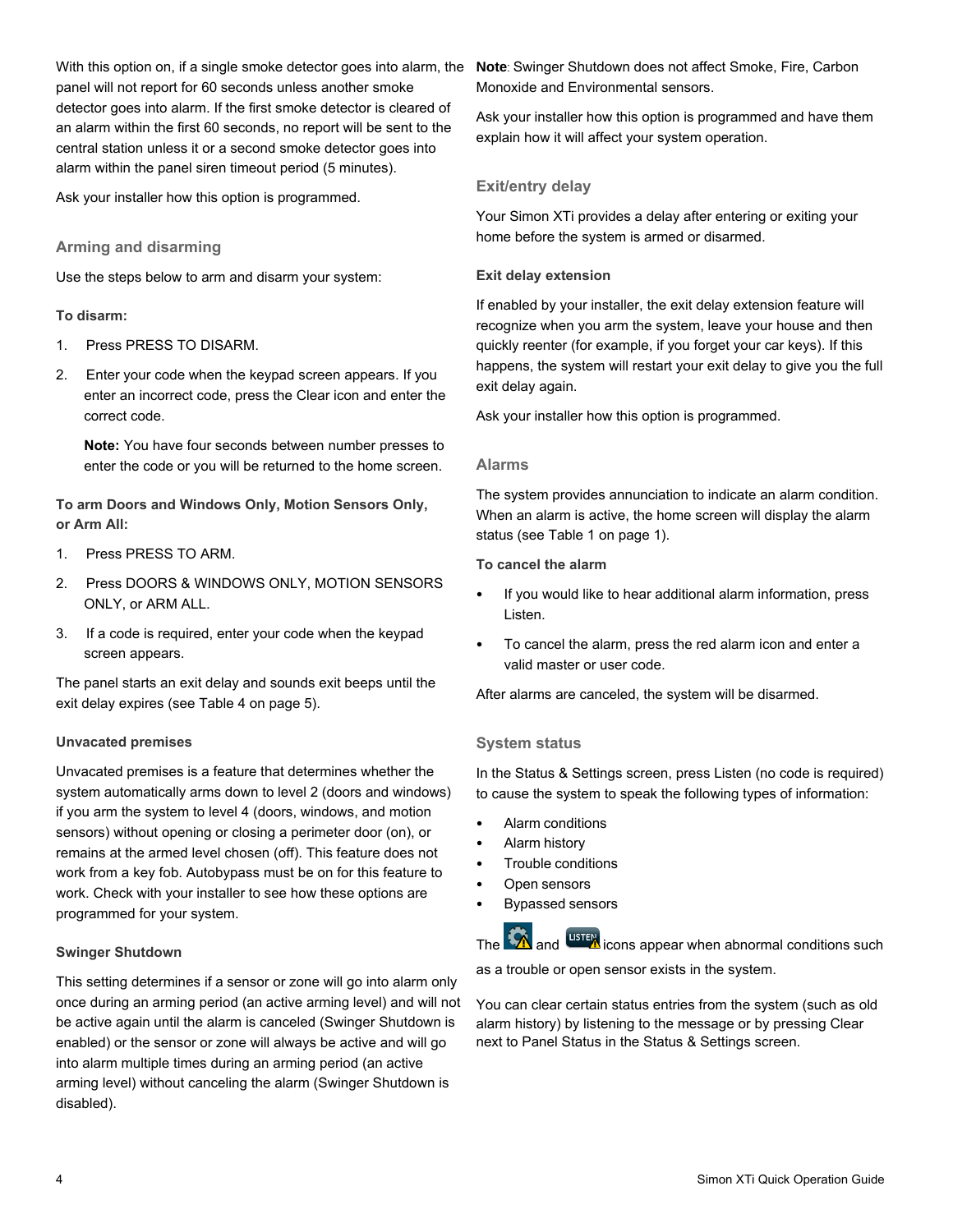With this option on, if a single smoke detector goes into alarm, the panel will not report for 60 seconds unless another smoke detector goes into alarm. If the first smoke detector is cleared of an alarm within the first 60 seconds, no report will be sent to the central station unless it or a second smoke detector goes into alarm within the panel siren timeout period (5 minutes).

Ask your installer how this option is programmed.

## **Arming and disarming**

Use the steps below to arm and disarm your system:

## **To disarm:**

- 1. Press PRESS TO DISARM.
- 2. Enter your code when the keypad screen appears. If you enter an incorrect code, press the Clear icon and enter the correct code.

**Note:** You have four seconds between number presses to enter the code or you will be returned to the home screen.

**To arm Doors and Windows Only, Motion Sensors Only, or Arm All:**

- 1. Press PRESS TO ARM.
- 2. Press DOORS & WINDOWS ONLY, MOTION SENSORS ONLY, or ARM ALL.
- 3. If a code is required, enter your code when the keypad screen appears.

The panel starts an exit delay and sounds exit beeps until the exit delay expire[s \(see Table 4](#page-4-1) on page 5).

## **Unvacated premises**

Unvacated premises is a feature that determines whether the system automatically arms down to level 2 (doors and windows) if you arm the system to level 4 (doors, windows, and motion sensors) without opening or closing a perimeter door (on), or remains at the armed level chosen (off). This feature does not work from a key fob. Autobypass must be on for this feature to work. Check with your installer to see how these options are programmed for your system.

## **Swinger Shutdown**

This setting determines if a sensor or zone will go into alarm only once during an arming period (an active arming level) and will not be active again until the alarm is canceled (Swinger Shutdown is enabled) or the sensor or zone will always be active and will go into alarm multiple times during an arming period (an active arming level) without canceling the alarm (Swinger Shutdown is disabled).

**Note**: Swinger Shutdown does not affect Smoke, Fire, Carbon Monoxide and Environmental sensors.

Ask your installer how this option is programmed and have them explain how it will affect your system operation.

# **Exit/entry delay**

Your Simon XTi provides a delay after entering or exiting your home before the system is armed or disarmed.

## **Exit delay extension**

If enabled by your installer, the exit delay extension feature will recognize when you arm the system, leave your house and then quickly reenter (for example, if you forget your car keys). If this happens, the system will restart your exit delay to give you the full exit delay again.

Ask your installer how this option is programmed.

## **Alarms**

The system provides annunciation to indicate an alarm condition. When an alarm is active, the home screen will display the alarm status (se[e Table](#page-0-0) 1 [on page](#page-0-0) 1).

**To cancel the alarm**

- If you would like to hear additional alarm information, press Listen.
- To cancel the alarm, press the red alarm icon and enter a valid master or user code.

After alarms are canceled, the system will be disarmed.

## **System status**

In the Status & Settings screen, press Listen (no code is required) to cause the system to speak the following types of information:

- Alarm conditions
- Alarm history
- Trouble conditions
- Open sensors
- Bypassed sensors

The  $\hat{A}$  and  $\hat{a}$  icons appear when abnormal conditions such

as a trouble or open sensor exists in the system.

You can clear certain status entries from the system (such as old alarm history) by listening to the message or by pressing Clear next to Panel Status in the Status & Settings screen.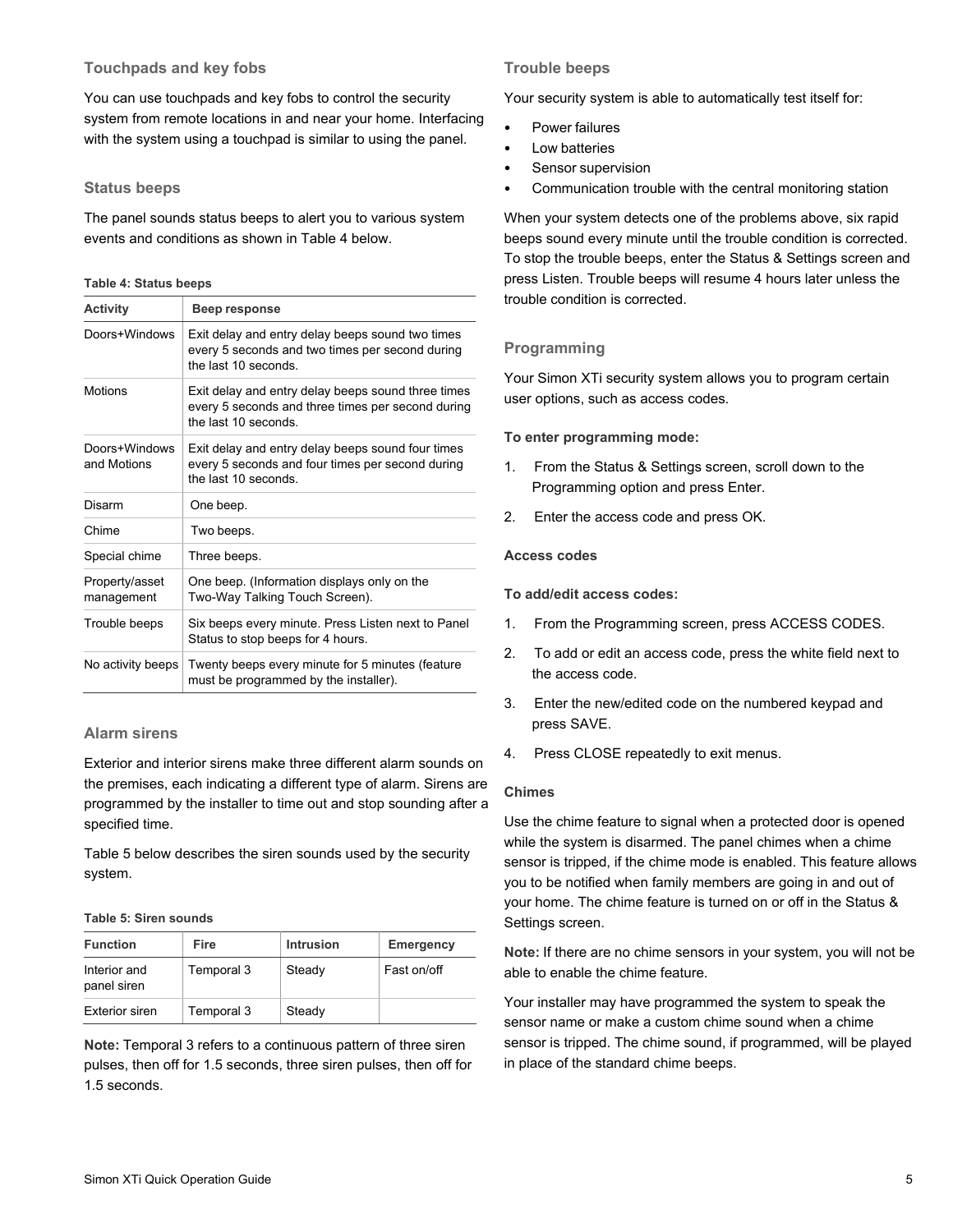# **Touchpads and key fobs**

You can use touchpads and key fobs to control the security system from remote locations in and near your home. Interfacing with the system using a touchpad is similar to using the panel.

## **Status beeps**

The panel sounds status beeps to alert you to various system events and conditions as shown [in Table](#page-4-1) 4 [belo](#page-4-1)w.

#### <span id="page-4-1"></span>**Table 4: Status beeps**

<span id="page-4-0"></span>

| <b>Activity</b>              | Beep response                                                                                                                  |  |  |
|------------------------------|--------------------------------------------------------------------------------------------------------------------------------|--|--|
| Doors+Windows                | Exit delay and entry delay beeps sound two times<br>every 5 seconds and two times per second during<br>the last 10 seconds     |  |  |
| <b>Motions</b>               | Exit delay and entry delay beeps sound three times<br>every 5 seconds and three times per second during<br>the last 10 seconds |  |  |
| Doors+Windows<br>and Motions | Exit delay and entry delay beeps sound four times<br>every 5 seconds and four times per second during<br>the last 10 seconds   |  |  |
| Disarm                       | One beep.                                                                                                                      |  |  |
| Chime                        | Two beeps.                                                                                                                     |  |  |
| Special chime                | Three beeps.                                                                                                                   |  |  |
| Property/asset<br>management | One beep. (Information displays only on the<br>Two-Way Talking Touch Screen).                                                  |  |  |
| Trouble beeps                | Six beeps every minute. Press Listen next to Panel<br>Status to stop beeps for 4 hours.                                        |  |  |
| No activity beeps            | Twenty beeps every minute for 5 minutes (feature<br>must be programmed by the installer).                                      |  |  |

## **Alarm sirens**

Exterior and interior sirens make three different alarm sounds on the premises, each indicating a different type of alarm. Sirens are programmed by the installer to time out and stop sounding after a specified time.

[Table 5](#page-4-2) [below](#page-4-2) describes the siren sounds used by the security system.

#### <span id="page-4-2"></span>**Table 5: Siren sounds**

| <b>Function</b>             | Fire       | <b>Intrusion</b> | Emergency   |
|-----------------------------|------------|------------------|-------------|
| Interior and<br>panel siren | Temporal 3 | Steady           | Fast on/off |
| <b>Exterior siren</b>       | Temporal 3 | Steady           |             |

**Note:** Temporal 3 refers to a continuous pattern of three siren pulses, then off for 1.5 seconds, three siren pulses, then off for 1.5 seconds.

# **Trouble beeps**

Your security system is able to automatically test itself for:

- Power failures
- Low batteries
- Sensor supervision
- Communication trouble with the central monitoring station

When your system detects one of the problems above, six rapid beeps sound every minute until the trouble condition is corrected. To stop the trouble beeps, enter the Status & Settings screen and press Listen. Trouble beeps will resume 4 hours later unless the trouble condition is corrected.

# **Programming**

Your Simon XTi security system allows you to program certain user options, such as access codes.

## **To enter programming mode:**

- 1. From the Status & Settings screen, scroll down to the Programming option and press Enter.
- 2. Enter the access code and press OK.

#### **Access codes**

**To add/edit access codes:** 

- 1. From the Programming screen, press ACCESS CODES.
- 2. To add or edit an access code, press the white field next to the access code.
- 3. Enter the new/edited code on the numbered keypad and press SAVE.
- 4. Press CLOSE repeatedly to exit menus.

#### **Chimes**

Use the chime feature to signal when a protected door is opened while the system is disarmed. The panel chimes when a chime sensor is tripped, if the chime mode is enabled. This feature allows you to be notified when family members are going in and out of your home. The chime feature is turned on or off in the Status & Settings screen.

**Note:** If there are no chime sensors in your system, you will not be able to enable the chime feature.

Your installer may have programmed the system to speak the sensor name or make a custom chime sound when a chime sensor is tripped. The chime sound, if programmed, will be played in place of the standard chime beeps.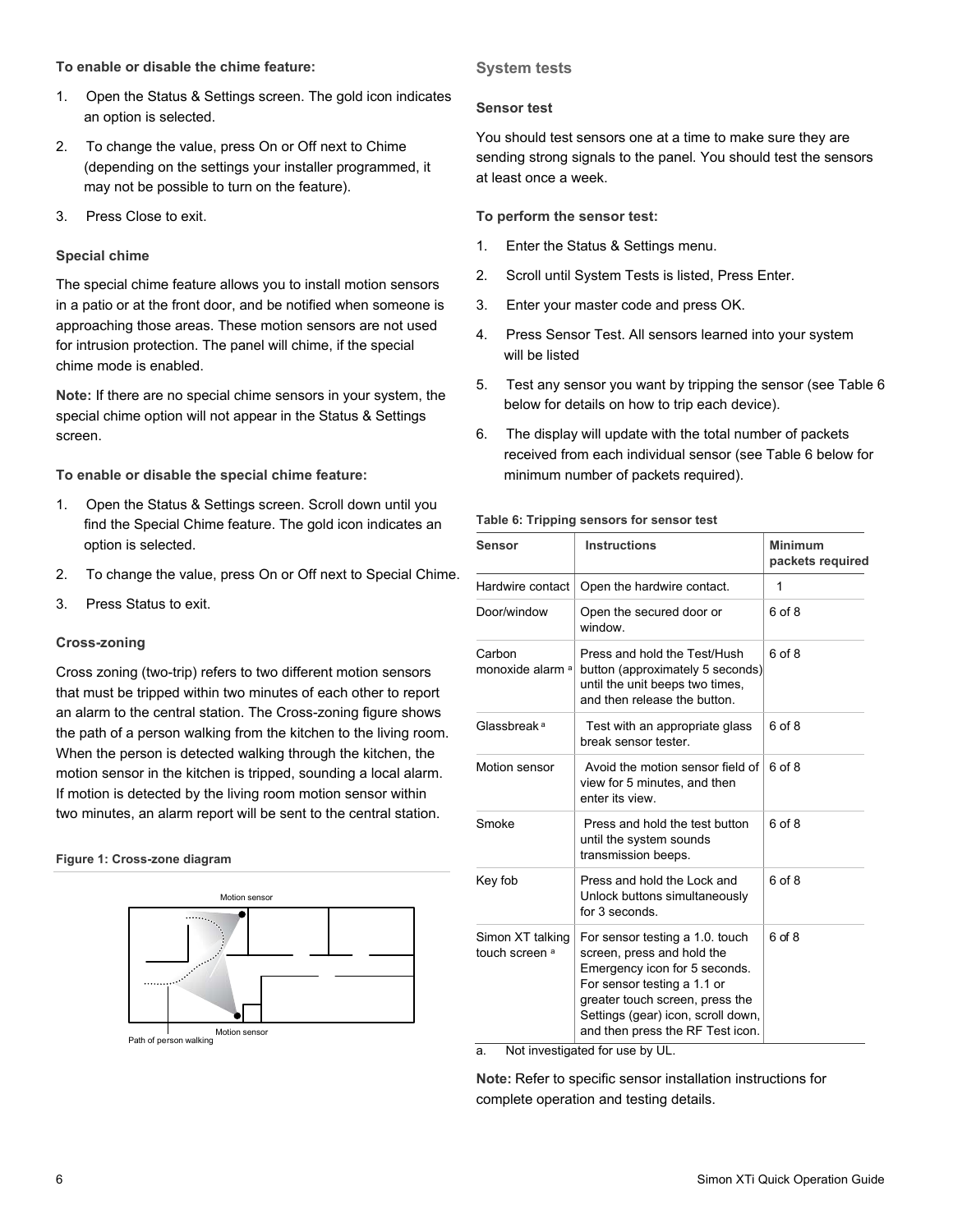## **To enable or disable the chime feature:**

- 1. Open the Status & Settings screen. The gold icon indicates an option is selected.
- 2. To change the value, press On or Off next to Chime (depending on the settings your installer programmed, it may not be possible to turn on the feature).
- 3. Press Close to exit.

## **Special chime**

The special chime feature allows you to install motion sensors in a patio or at the front door, and be notified when someone is approaching those areas. These motion sensors are not used for intrusion protection. The panel will chime, if the special chime mode is enabled.

**Note:** If there are no special chime sensors in your system, the special chime option will not appear in the Status & Settings screen.

**To enable or disable the special chime feature:** 

- <span id="page-5-0"></span>1. Open the Status & Settings screen. Scroll down until you find the Special Chime feature. The gold icon indicates an option is selected.
- 2. To change the value, press On or Off next to Special Chime.
- 3. Press Status to exit.

#### **Cross-zoning**

Cross zoning (two-trip) refers to two different motion sensors that must be tripped within two minutes of each other to report an alarm to the central station. The Cross-zoning figure shows the path of a person walking from the kitchen to the living room. When the person is detected walking through the kitchen, the motion sensor in the kitchen is tripped, sounding a local alarm. If motion is detected by the living room motion sensor within two minutes, an alarm report will be sent to the central station.

#### **Figure 1: Cross-zone diagram**



Motion sensor Path of person walking

## **System tests**

#### **Sensor test**

You should test sensors one at a time to make sure they are sending strong signals to the panel. You should test the sensors at least once a week.

#### **To perform the sensor test:**

- 1. Enter the Status & Settings menu.
- 2. Scroll until System Tests is listed, Press Enter.
- 3. Enter your master code and press OK.
- 4. Press Sensor Test. All sensors learned into your system will be listed
- 5. Test any sensor you want by tripping the sensor ([see Tab](#page-5-0)le 6 [below](#page-5-0) for details on how to trip each device).
- 6. The display will update with the total number of packets received from each individual sensor (s[ee Table 6](#page-5-0) below for minimum number of packets required).

**Table 6: Tripping sensors for sensor test** 

| Sensor                             | <b>Instructions</b>                                                                                                                                                                                                                        | <b>Minimum</b><br>packets required |
|------------------------------------|--------------------------------------------------------------------------------------------------------------------------------------------------------------------------------------------------------------------------------------------|------------------------------------|
| Hardwire contact                   | Open the hardwire contact.                                                                                                                                                                                                                 | 1                                  |
| Door/window                        | Open the secured door or<br>window                                                                                                                                                                                                         | 6 of 8                             |
| Carbon<br>monoxide alarm a         | Press and hold the Test/Hush<br>button (approximately 5 seconds)<br>until the unit beeps two times,<br>and then release the button.                                                                                                        | 6 of 8                             |
| Glassbreak <sup>a</sup>            | Test with an appropriate glass<br>break sensor tester.                                                                                                                                                                                     | 6 of 8                             |
| Motion sensor                      | Avoid the motion sensor field of<br>view for 5 minutes, and then<br>enter its view.                                                                                                                                                        | 6 of 8                             |
| Smoke                              | Press and hold the test button<br>until the system sounds<br>transmission beeps.                                                                                                                                                           | 6 of 8                             |
| Key fob                            | Press and hold the Lock and<br>Unlock buttons simultaneously<br>for 3 seconds.                                                                                                                                                             | 6 of 8                             |
| Simon XT talking<br>touch screen a | For sensor testing a 1.0. touch<br>screen, press and hold the<br>Emergency icon for 5 seconds.<br>For sensor testing a 1.1 or<br>greater touch screen, press the<br>Settings (gear) icon, scroll down,<br>and then press the RF Test icon. | 6 of 8                             |

a. Not investigated for use by UL.

**Note:** Refer to specific sensor installation instructions for complete operation and testing details.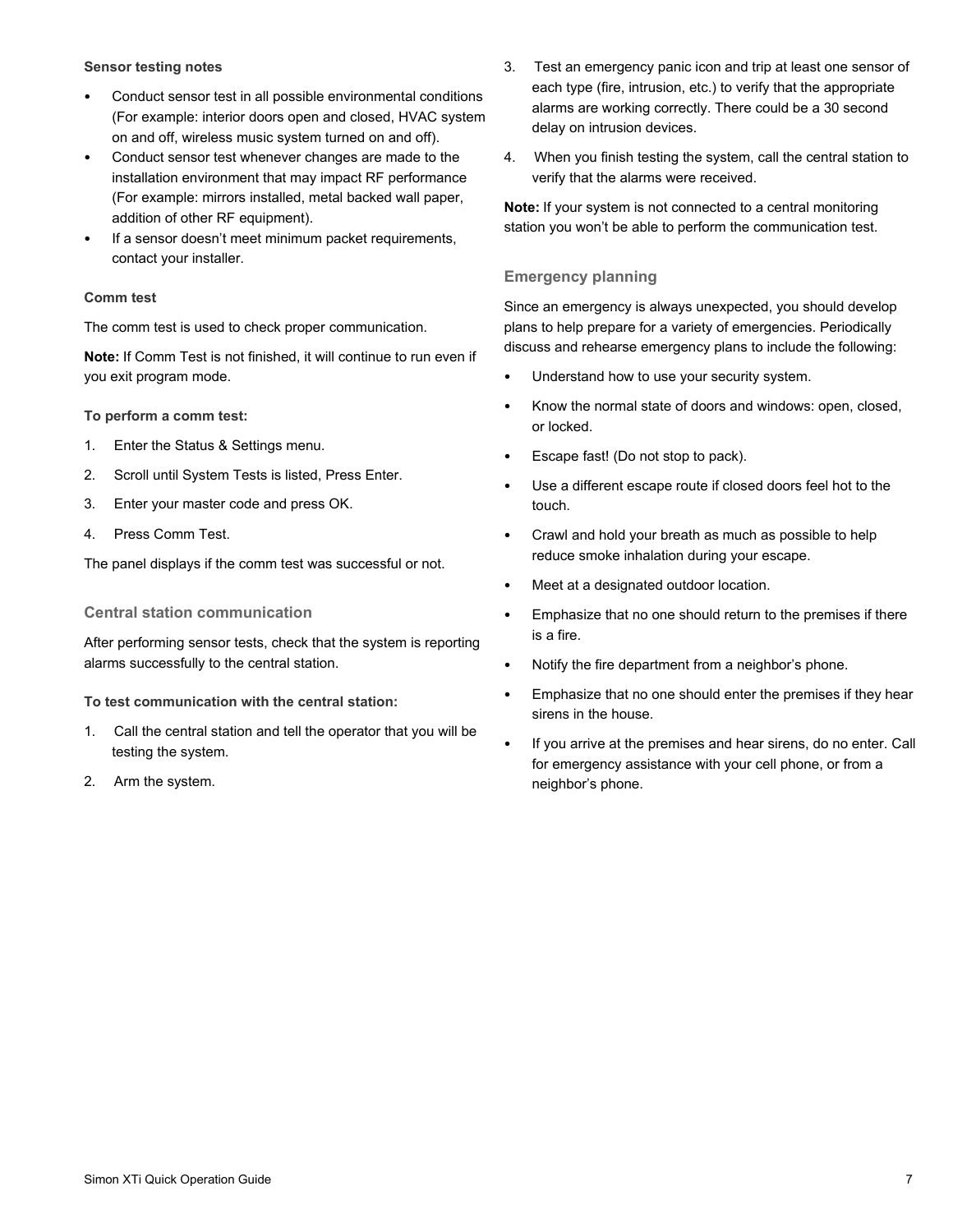#### **Sensor testing notes**

- Conduct sensor test in all possible environmental conditions (For example: interior doors open and closed, HVAC system on and off, wireless music system turned on and off).
- Conduct sensor test whenever changes are made to the installation environment that may impact RF performance (For example: mirrors installed, metal backed wall paper, addition of other RF equipment).
- If a sensor doesn't meet minimum packet requirements, contact your installer.

#### **Comm test**

The comm test is used to check proper communication.

**Note:** If Comm Test is not finished, it will continue to run even if you exit program mode.

**To perform a comm test:** 

- 1. Enter the Status & Settings menu.
- 2. Scroll until System Tests is listed, Press Enter.
- 3. Enter your master code and press OK.
- 4. Press Comm Test.

The panel displays if the comm test was successful or not.

**Central station communication**

After performing sensor tests, check that the system is reporting alarms successfully to the central station.

**To test communication with the central station:** 

- 1. Call the central station and tell the operator that you will be testing the system.
- 2. Arm the system.
- 3. Test an emergency panic icon and trip at least one sensor of each type (fire, intrusion, etc.) to verify that the appropriate alarms are working correctly. There could be a 30 second delay on intrusion devices.
- 4. When you finish testing the system, call the central station to verify that the alarms were received.

**Note:** If your system is not connected to a central monitoring station you won't be able to perform the communication test.

# **Emergency planning**

Since an emergency is always unexpected, you should develop plans to help prepare for a variety of emergencies. Periodically discuss and rehearse emergency plans to include the following:

- Understand how to use your security system.
- Know the normal state of doors and windows: open, closed, or locked.
- Escape fast! (Do not stop to pack).
- Use a different escape route if closed doors feel hot to the touch.
- Crawl and hold your breath as much as possible to help reduce smoke inhalation during your escape.
- Meet at a designated outdoor location.
- Emphasize that no one should return to the premises if there is a fire.
- Notify the fire department from a neighbor's phone.
- Emphasize that no one should enter the premises if they hear sirens in the house.
- If you arrive at the premises and hear sirens, do no enter. Call for emergency assistance with your cell phone, or from a neighbor's phone.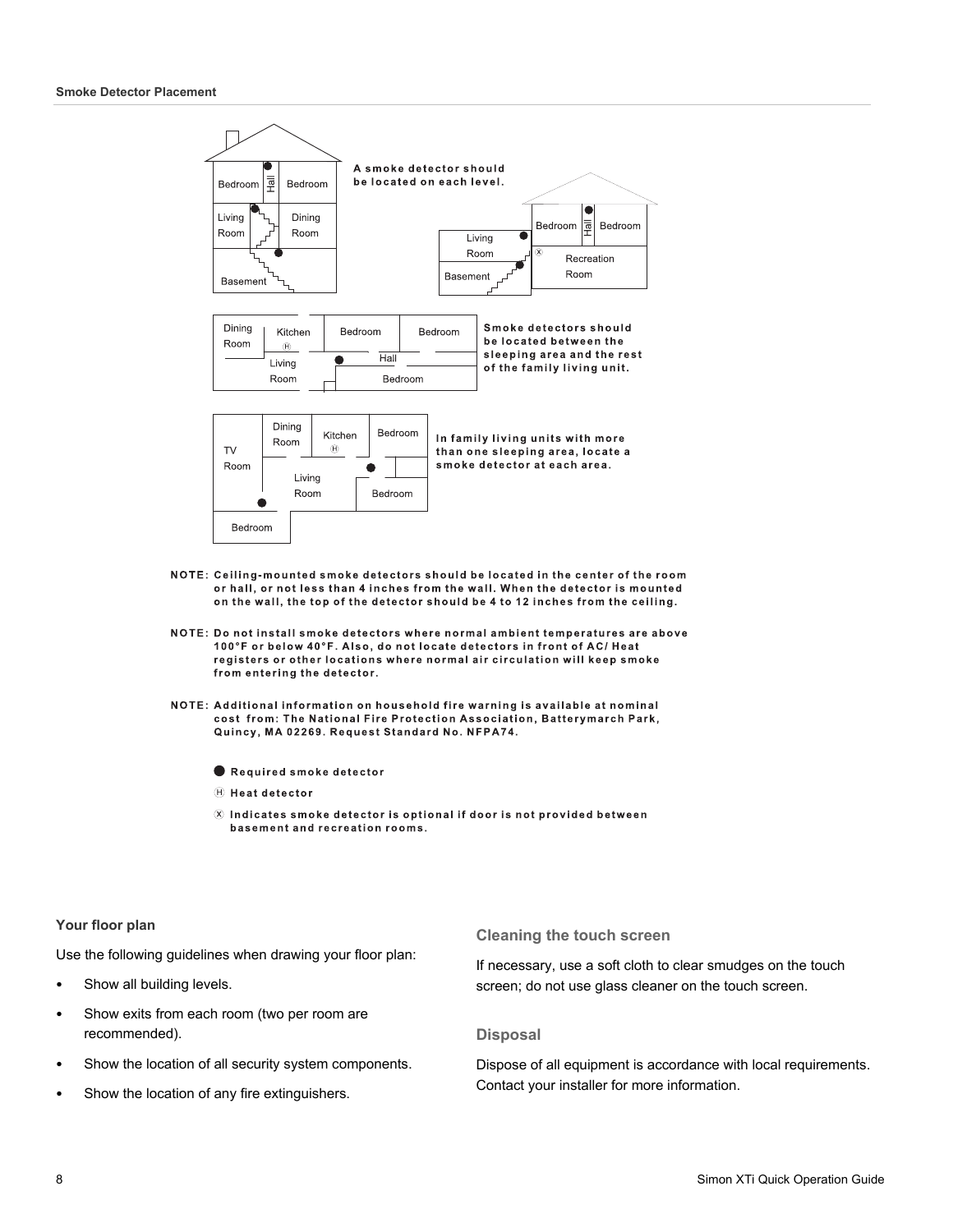

- NOTE: Ceiling-mounted smoke detectors should be located in the center of the room or hall, or not less than 4 inches from the wall. When the detector is mounted on the wall, the top of the detector should be 4 to 12 inches from the ceiling.
- NOTE: Do not install smoke detectors where normal ambient temperatures are above 100°F or below 40°F. Also, do not locate detectors in front of AC/ Heat registers or other locations where normal air circulation will keep smoke from entering the detector.
- NOTE: Additional information on household fire warning is available at nominal cost from: The National Fire Protection Association, Batterymarch Park, Quincy, MA 02269. Request Standard No. NFPA74.
	- Required smoke detector
	- $\oplus$  Heat detector
	- $\otimes$  Indicates smoke detector is optional if door is not provided between basement and recreation rooms.

#### **Your floor plan**

Use the following guidelines when drawing your floor plan:

- Show all building levels.
- Show exits from each room (two per room are recommended).
- Show the location of all security system components.
- Show the location of any fire extinguishers.

**Cleaning the touch screen** 

If necessary, use a soft cloth to clear smudges on the touch screen; do not use glass cleaner on the touch screen.

#### **Disposal**

Dispose of all equipment is accordance with local requirements. Contact your installer for more information.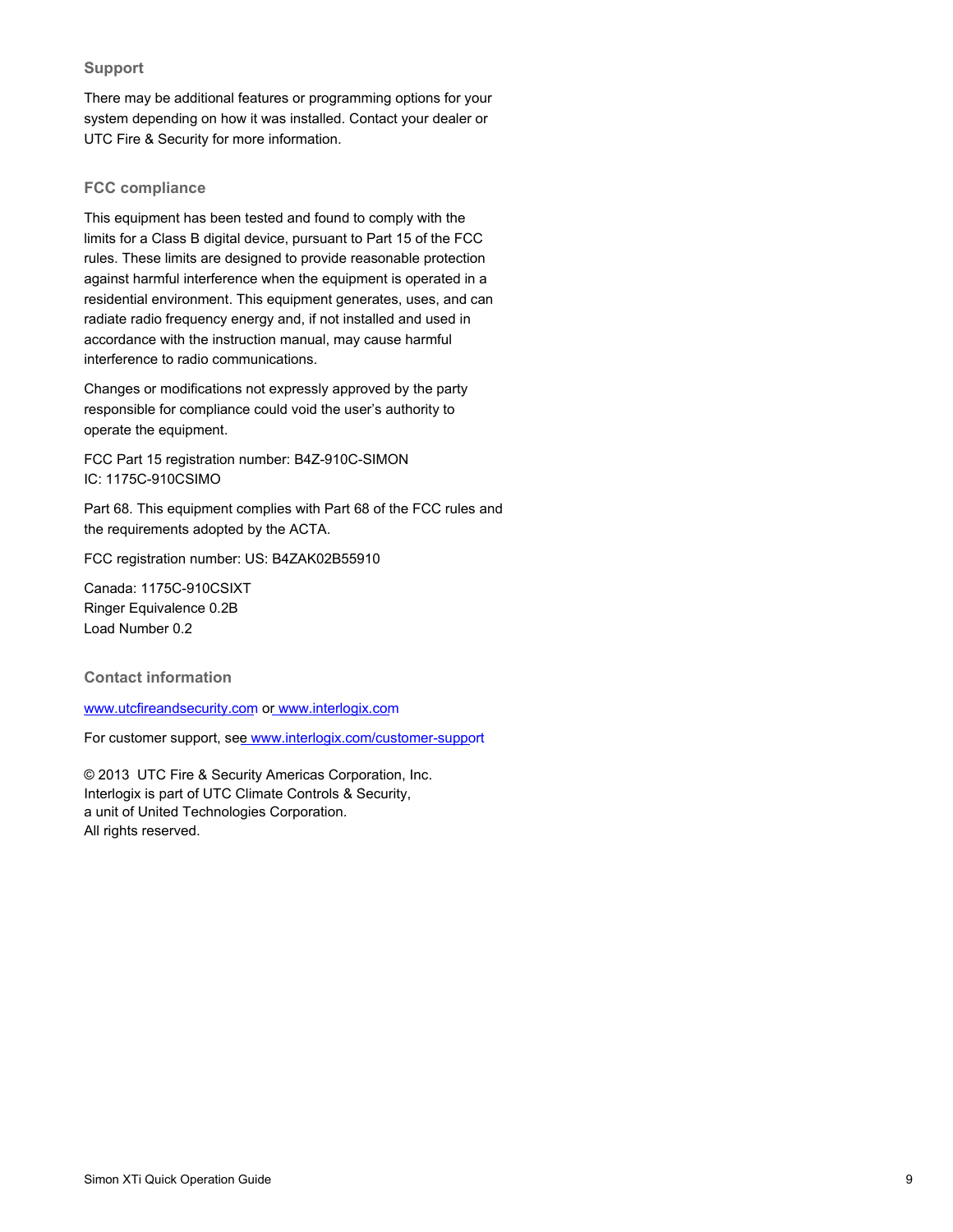# **Support**

There may be additional features or programming options for your system depending on how it was installed. Contact your dealer or UTC Fire & Security for more information.

## **FCC compliance**

This equipment has been tested and found to comply with the limits for a Class B digital device, pursuant to Part 15 of the FCC rules. These limits are designed to provide reasonable protection against harmful interference when the equipment is operated in a residential environment. This equipment generates, uses, and can radiate radio frequency energy and, if not installed and used in accordance with the instruction manual, may cause harmful interference to radio communications.

Changes or modifications not expressly approved by the party responsible for compliance could void the user's authority to operate the equipment.

FCC Part 15 registration number: B4Z-910C-SIMON IC: 1175C-910CSIMO

Part 68. This equipment complies with Part 68 of the FCC rules and the requirements adopted by the ACTA.

FCC registration number: US: B4ZAK02B55910

Canada: 1175C-910CSIXT Ringer Equivalence 0.2B Load Number 0.2

#### <span id="page-8-0"></span>**Contact information**

[www.utcfireandsecurity.com](http://www.utcfireandsecurity.com/) o[r www.interlogix.com](http://www.interlogix.com/)

For customer support, se[e www.interlogix.com/customer-suppo](http://www.interlogix.com/customer-support)rt

© 2013 UTC Fire & Security Americas Corporation, Inc. Interlogix is part of UTC Climate Controls & Security, a unit of United Technologies Corporation. All rights reserved.